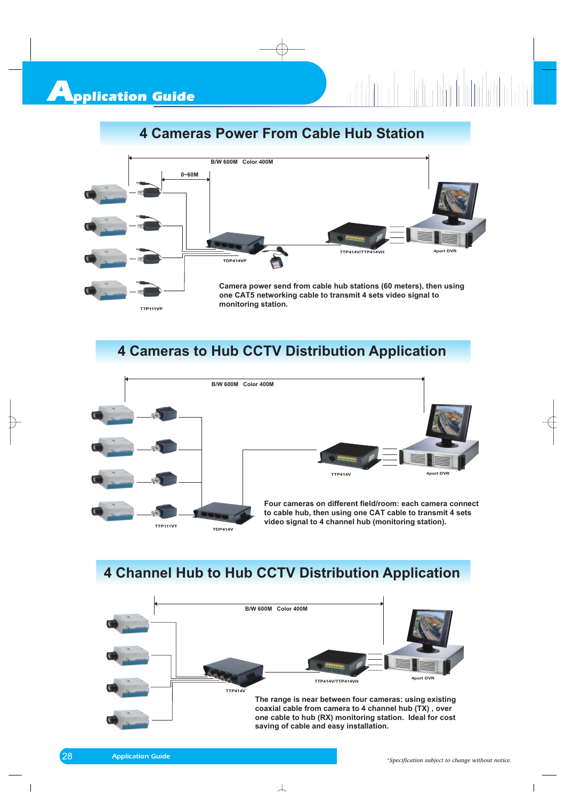## **4 Cameras Power From Cable Hub Station**



## **4 Cameras to Hub CCTV Distribution Application**



#### **4 Channel Hub to Hub CCTV Distribution Application**

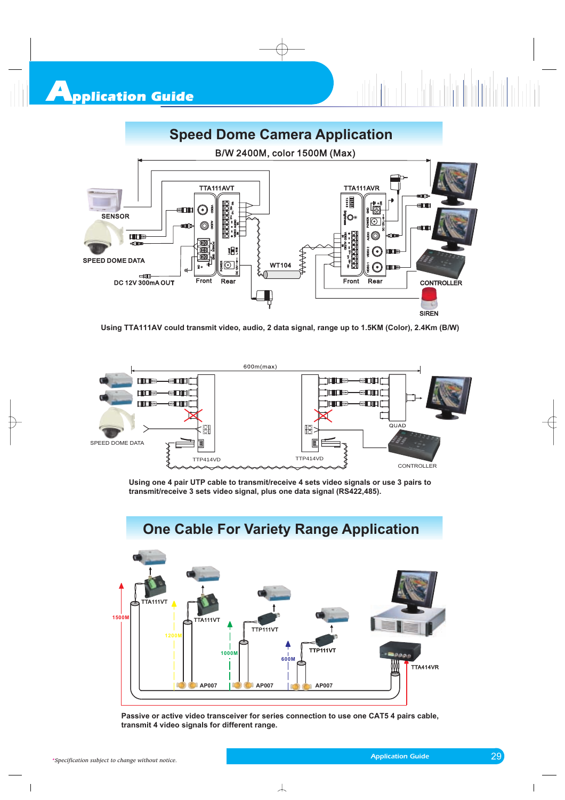

**Using TTA111AV could transmit video, audio, 2 data signal, range up to 1.5KM (Color), 2.4Km (B/W)** 



**Using one 4 pair UTP cable to transmit/receive 4 sets video signals or use 3 pairs to transmit/receive 3 sets video signal, plus one data signal (RS422,485).**



**Passive or active video transceiver for series connection to use one CAT5 4 pairs cable, transmit 4 video signals for different range.**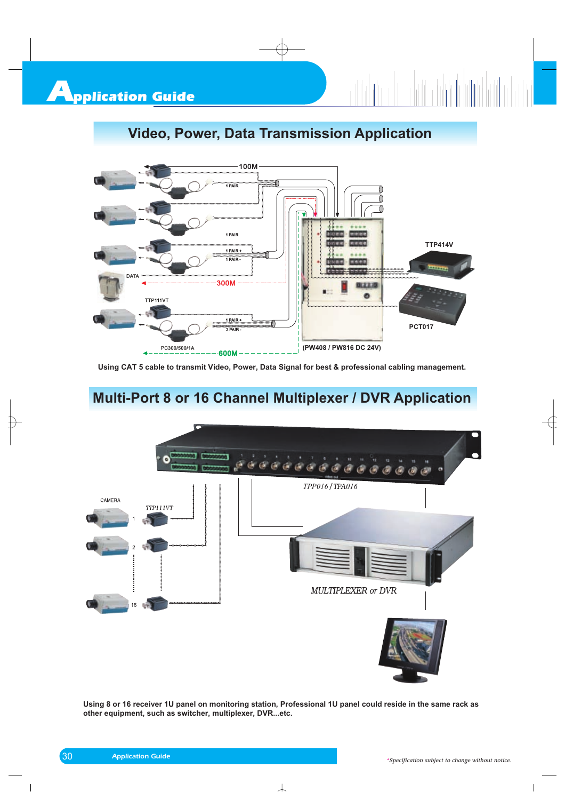# **Video, Power, Data Transmission Application**



**Using CAT 5 cable to transmit Video, Power, Data Signal for best & professional cabling management.**

## **Multi-Port 8 or 16 Channel Multiplexer / DVR Application**



**Using 8 or 16 receiver 1U panel on monitoring station, Professional 1U panel could reside in the same rack as other equipment, such as switcher, multiplexer, DVR...etc.**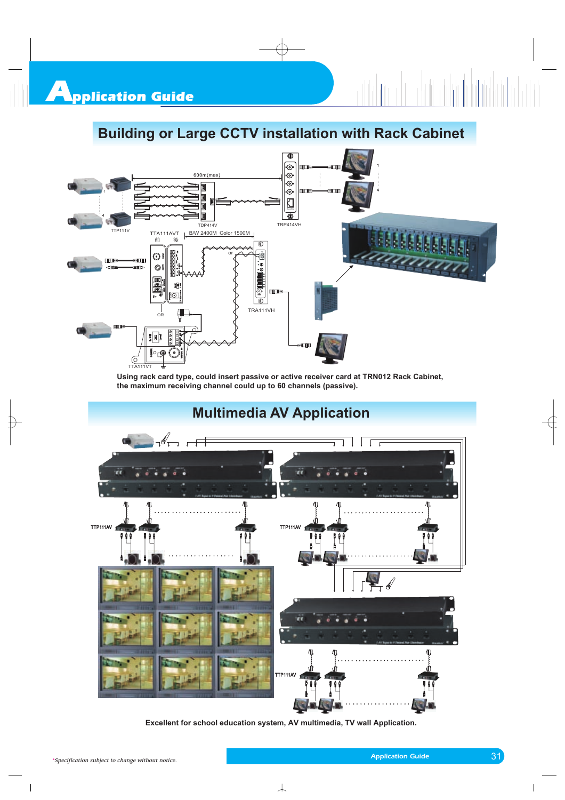## **Building or Large CCTV installation with Rack Cabinet**



**Using rack card type, could insert passive or active receiver card at TRN012 Rack Cabinet, the maximum receiving channel could up to 60 channels (passive).**



**Excellent for school education system, AV multimedia, TV wall Application.**